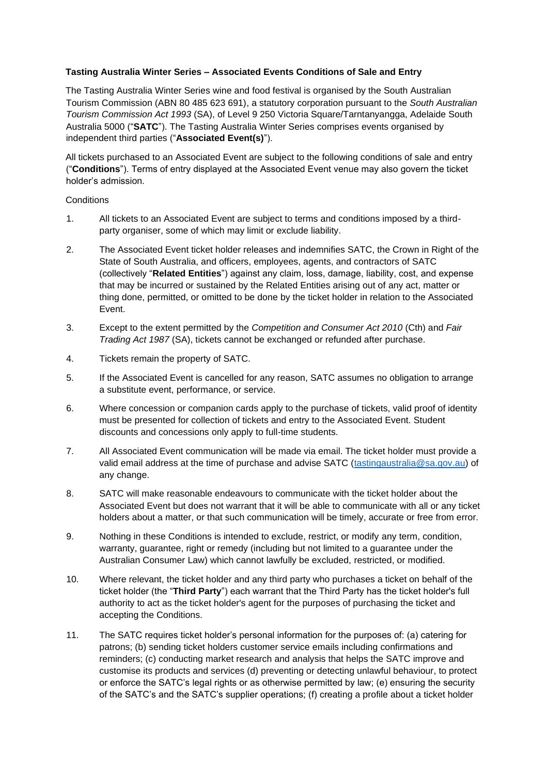## **Tasting Australia Winter Series – Associated Events Conditions of Sale and Entry**

The Tasting Australia Winter Series wine and food festival is organised by the South Australian Tourism Commission (ABN 80 485 623 691), a statutory corporation pursuant to the *South Australian Tourism Commission Act 1993* (SA), of Level 9 250 Victoria Square/Tarntanyangga, Adelaide South Australia 5000 ("**SATC**"). The Tasting Australia Winter Series comprises events organised by independent third parties ("**Associated Event(s)**").

All tickets purchased to an Associated Event are subject to the following conditions of sale and entry ("**Conditions**"). Terms of entry displayed at the Associated Event venue may also govern the ticket holder's admission.

## **Conditions**

- 1. All tickets to an Associated Event are subject to terms and conditions imposed by a thirdparty organiser, some of which may limit or exclude liability.
- 2. The Associated Event ticket holder releases and indemnifies SATC, the Crown in Right of the State of South Australia, and officers, employees, agents, and contractors of SATC (collectively "**Related Entities**") against any claim, loss, damage, liability, cost, and expense that may be incurred or sustained by the Related Entities arising out of any act, matter or thing done, permitted, or omitted to be done by the ticket holder in relation to the Associated Event.
- 3. Except to the extent permitted by the *Competition and Consumer Act 2010* (Cth) and *Fair Trading Act 1987* (SA), tickets cannot be exchanged or refunded after purchase.
- 4. Tickets remain the property of SATC.
- 5. If the Associated Event is cancelled for any reason, SATC assumes no obligation to arrange a substitute event, performance, or service.
- 6. Where concession or companion cards apply to the purchase of tickets, valid proof of identity must be presented for collection of tickets and entry to the Associated Event. Student discounts and concessions only apply to full-time students.
- 7. All Associated Event communication will be made via email. The ticket holder must provide a valid email address at the time of purchase and advise SATC (tastingaustralia@sa.gov.au) of any change.
- 8. SATC will make reasonable endeavours to communicate with the ticket holder about the Associated Event but does not warrant that it will be able to communicate with all or any ticket holders about a matter, or that such communication will be timely, accurate or free from error.
- 9. Nothing in these Conditions is intended to exclude, restrict, or modify any term, condition, warranty, guarantee, right or remedy (including but not limited to a guarantee under the Australian Consumer Law) which cannot lawfully be excluded, restricted, or modified.
- 10. Where relevant, the ticket holder and any third party who purchases a ticket on behalf of the ticket holder (the "**Third Party**") each warrant that the Third Party has the ticket holder's full authority to act as the ticket holder's agent for the purposes of purchasing the ticket and accepting the Conditions.
- 11. The SATC requires ticket holder's personal information for the purposes of: (a) catering for patrons; (b) sending ticket holders customer service emails including confirmations and reminders; (c) conducting market research and analysis that helps the SATC improve and customise its products and services (d) preventing or detecting unlawful behaviour, to protect or enforce the SATC's legal rights or as otherwise permitted by law; (e) ensuring the security of the SATC's and the SATC's supplier operations; (f) creating a profile about a ticket holder